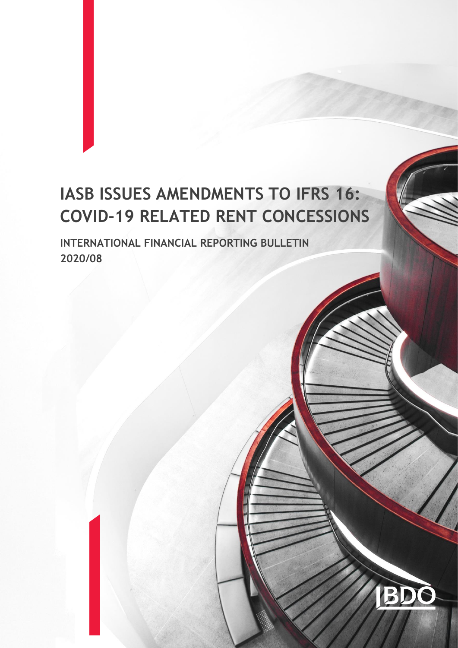# **IASB ISSUES AMENDMENTS TO IFRS 16: COVID-19 RELATED RENT CONCESSIONS**

**INTERNATIONAL FINANCIAL REPORTING BULLETIN 2020/08**

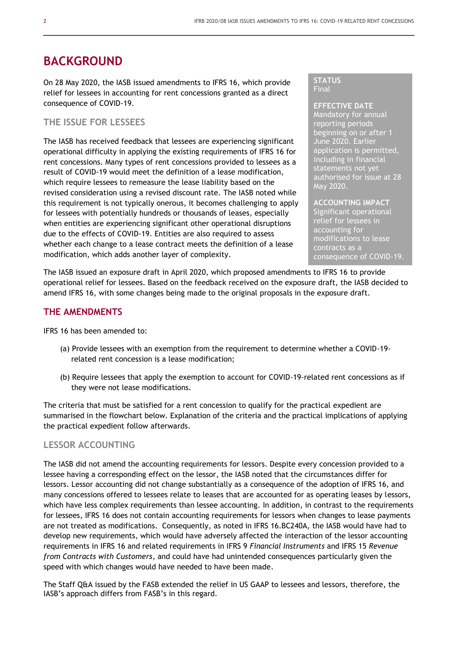### **BACKGROUND**

On 28 May 2020, the IASB issued amendments to IFRS 16, which provide relief for lessees in accounting for rent concessions granted as a direct consequence of COVID-19.

#### **THE ISSUE FOR LESSEES**

The IASB has received feedback that lessees are experiencing significant operational difficulty in applying the existing requirements of IFRS 16 for rent concessions. Many types of rent concessions provided to lessees as a result of COVID-19 would meet the definition of a lease modification, which require lessees to remeasure the lease liability based on the revised consideration using a revised discount rate. The IASB noted while this requirement is not typically onerous, it becomes challenging to apply for lessees with potentially hundreds or thousands of leases, especially when entities are experiencing significant other operational disruptions due to the effects of COVID-19. Entities are also required to assess whether each change to a lease contract meets the definition of a lease modification, which adds another layer of complexity.

#### **STATUS** Final

**EFFECTIVE DATE** Mandatory for annual reporting periods beginning on or after 1 June 2020. Earlier application is permitted, including in financial statements not yet authorised for issue at 28 May 2020.

**ACCOUNTING IMPACT** Significant operational relief for lessees in accounting for modifications to lease contracts as a consequence of COVID-19.

The IASB issued an exposure draft in April 2020, which proposed amendments to IFRS 16 to provide operational relief for lessees. Based on the feedback received on the exposure draft, the IASB decided to amend IFRS 16, with some changes being made to the original proposals in the exposure draft.

#### **THE AMENDMENTS**

IFRS 16 has been amended to:

- (a) Provide lessees with an exemption from the requirement to determine whether a COVID-19 related rent concession is a lease modification;
- (b) Require lessees that apply the exemption to account for COVID-19-related rent concessions as if they were not lease modifications.

The criteria that must be satisfied for a rent concession to qualify for the practical expedient are summarised in the flowchart below. Explanation of the criteria and the practical implications of applying the practical expedient follow afterwards.

#### **LESSOR ACCOUNTING**

The IASB did not amend the accounting requirements for lessors. Despite every concession provided to a lessee having a corresponding effect on the lessor, the IASB noted that the circumstances differ for lessors. Lessor accounting did not change substantially as a consequence of the adoption of IFRS 16, and many concessions offered to lessees relate to leases that are accounted for as operating leases by lessors, which have less complex requirements than lessee accounting. In addition, in contrast to the requirements for lessees, IFRS 16 does not contain accounting requirements for lessors when changes to lease payments are not treated as modifications. Consequently, as noted in IFRS 16.BC240A, the IASB would have had to develop new requirements, which would have adversely affected the interaction of the lessor accounting requirements in IFRS 16 and related requirements in IFRS 9 *Financial Instruments* and IFRS 15 *Revenue from Contracts with Customers*, and could have had unintended consequences particularly given the speed with which changes would have needed to have been made.

The Staff Q&A issued by the FASB extended the relief in US GAAP to lessees and lessors, therefore, the IASB's approach differs from FASB's in this regard.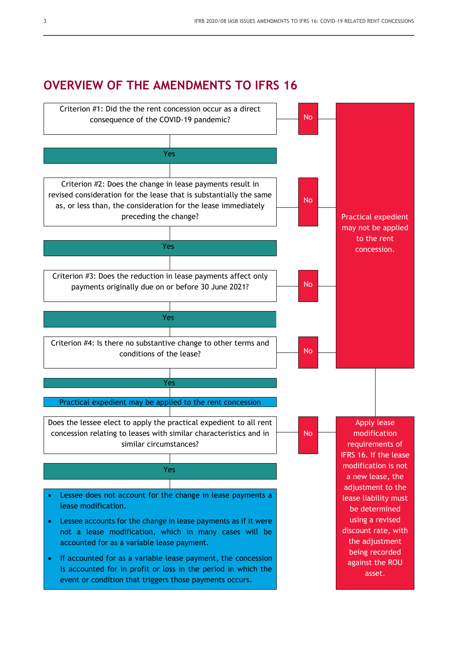## **OVERVIEW OF THE AMENDMENTS TO IFRS 16**

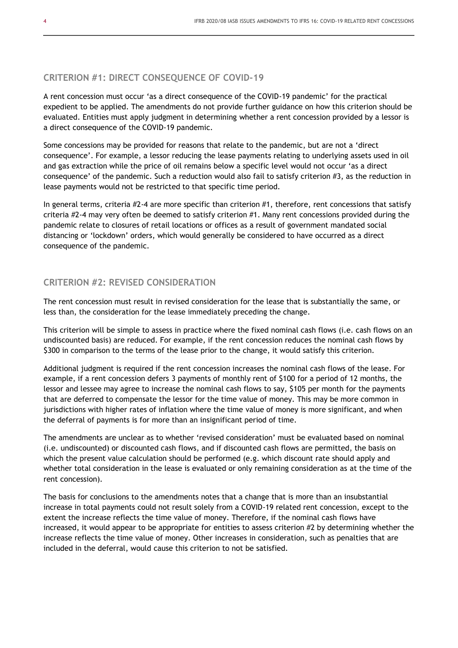#### **CRITERION #1: DIRECT CONSEQUENCE OF COVID-19**

A rent concession must occur 'as a direct consequence of the COVID-19 pandemic' for the practical expedient to be applied. The amendments do not provide further guidance on how this criterion should be evaluated. Entities must apply judgment in determining whether a rent concession provided by a lessor is a direct consequence of the COVID-19 pandemic.

Some concessions may be provided for reasons that relate to the pandemic, but are not a 'direct consequence'. For example, a lessor reducing the lease payments relating to underlying assets used in oil and gas extraction while the price of oil remains below a specific level would not occur 'as a direct consequence' of the pandemic. Such a reduction would also fail to satisfy criterion #3, as the reduction in lease payments would not be restricted to that specific time period.

In general terms, criteria #2-4 are more specific than criterion #1, therefore, rent concessions that satisfy criteria #2-4 may very often be deemed to satisfy criterion #1. Many rent concessions provided during the pandemic relate to closures of retail locations or offices as a result of government mandated social distancing or 'lockdown' orders, which would generally be considered to have occurred as a direct consequence of the pandemic.

#### **CRITERION #2: REVISED CONSIDERATION**

The rent concession must result in revised consideration for the lease that is substantially the same, or less than, the consideration for the lease immediately preceding the change.

This criterion will be simple to assess in practice where the fixed nominal cash flows (i.e. cash flows on an undiscounted basis) are reduced. For example, if the rent concession reduces the nominal cash flows by \$300 in comparison to the terms of the lease prior to the change, it would satisfy this criterion.

Additional judgment is required if the rent concession increases the nominal cash flows of the lease. For example, if a rent concession defers 3 payments of monthly rent of \$100 for a period of 12 months, the lessor and lessee may agree to increase the nominal cash flows to say, \$105 per month for the payments that are deferred to compensate the lessor for the time value of money. This may be more common in jurisdictions with higher rates of inflation where the time value of money is more significant, and when the deferral of payments is for more than an insignificant period of time.

The amendments are unclear as to whether 'revised consideration' must be evaluated based on nominal (i.e. undiscounted) or discounted cash flows, and if discounted cash flows are permitted, the basis on which the present value calculation should be performed (e.g. which discount rate should apply and whether total consideration in the lease is evaluated or only remaining consideration as at the time of the rent concession).

The basis for conclusions to the amendments notes that a change that is more than an insubstantial increase in total payments could not result solely from a COVID-19 related rent concession, except to the extent the increase reflects the time value of money. Therefore, if the nominal cash flows have increased, it would appear to be appropriate for entities to assess criterion #2 by determining whether the increase reflects the time value of money. Other increases in consideration, such as penalties that are included in the deferral, would cause this criterion to not be satisfied.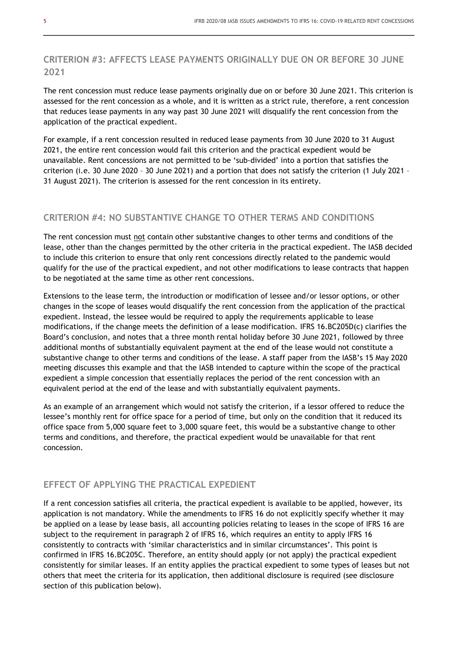#### **CRITERION #3: AFFECTS LEASE PAYMENTS ORIGINALLY DUE ON OR BEFORE 30 JUNE 2021**

The rent concession must reduce lease payments originally due on or before 30 June 2021. This criterion is assessed for the rent concession as a whole, and it is written as a strict rule, therefore, a rent concession that reduces lease payments in any way past 30 June 2021 will disqualify the rent concession from the application of the practical expedient.

For example, if a rent concession resulted in reduced lease payments from 30 June 2020 to 31 August 2021, the entire rent concession would fail this criterion and the practical expedient would be unavailable. Rent concessions are not permitted to be 'sub-divided' into a portion that satisfies the criterion (i.e. 30 June 2020 – 30 June 2021) and a portion that does not satisfy the criterion (1 July 2021 – 31 August 2021). The criterion is assessed for the rent concession in its entirety.

#### **CRITERION #4: NO SUBSTANTIVE CHANGE TO OTHER TERMS AND CONDITIONS**

The rent concession must not contain other substantive changes to other terms and conditions of the lease, other than the changes permitted by the other criteria in the practical expedient. The IASB decided to include this criterion to ensure that only rent concessions directly related to the pandemic would qualify for the use of the practical expedient, and not other modifications to lease contracts that happen to be negotiated at the same time as other rent concessions.

Extensions to the lease term, the introduction or modification of lessee and/or lessor options, or other changes in the scope of leases would disqualify the rent concession from the application of the practical expedient. Instead, the lessee would be required to apply the requirements applicable to lease modifications, if the change meets the definition of a lease modification. IFRS 16.BC205D(c) clarifies the Board's conclusion, and notes that a three month rental holiday before 30 June 2021, followed by three additional months of substantially equivalent payment at the end of the lease would not constitute a substantive change to other terms and conditions of the lease. A staff paper from the IASB's 15 May 2020 meeting discusses this example and that the IASB intended to capture within the scope of the practical expedient a simple concession that essentially replaces the period of the rent concession with an equivalent period at the end of the lease and with substantially equivalent payments.

As an example of an arrangement which would not satisfy the criterion, if a lessor offered to reduce the lessee's monthly rent for office space for a period of time, but only on the condition that it reduced its office space from 5,000 square feet to 3,000 square feet, this would be a substantive change to other terms and conditions, and therefore, the practical expedient would be unavailable for that rent concession.

#### **EFFECT OF APPLYING THE PRACTICAL EXPEDIENT**

If a rent concession satisfies all criteria, the practical expedient is available to be applied, however, its application is not mandatory. While the amendments to IFRS 16 do not explicitly specify whether it may be applied on a lease by lease basis, all accounting policies relating to leases in the scope of IFRS 16 are subject to the requirement in paragraph 2 of IFRS 16, which requires an entity to apply IFRS 16 consistently to contracts with 'similar characteristics and in similar circumstances'. This point is confirmed in IFRS 16.BC205C. Therefore, an entity should apply (or not apply) the practical expedient consistently for similar leases. If an entity applies the practical expedient to some types of leases but not others that meet the criteria for its application, then additional disclosure is required (see disclosure section of this publication below).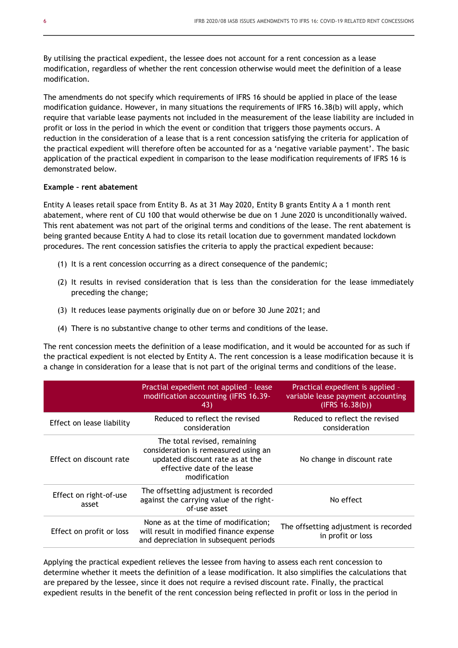By utilising the practical expedient, the lessee does not account for a rent concession as a lease modification, regardless of whether the rent concession otherwise would meet the definition of a lease modification.

The amendments do not specify which requirements of IFRS 16 should be applied in place of the lease modification guidance. However, in many situations the requirements of IFRS 16.38(b) will apply, which require that variable lease payments not included in the measurement of the lease liability are included in profit or loss in the period in which the event or condition that triggers those payments occurs. A reduction in the consideration of a lease that is a rent concession satisfying the criteria for application of the practical expedient will therefore often be accounted for as a 'negative variable payment'. The basic application of the practical expedient in comparison to the lease modification requirements of IFRS 16 is demonstrated below.

#### **Example – rent abatement**

Entity A leases retail space from Entity B. As at 31 May 2020, Entity B grants Entity A a 1 month rent abatement, where rent of CU 100 that would otherwise be due on 1 June 2020 is unconditionally waived. This rent abatement was not part of the original terms and conditions of the lease. The rent abatement is being granted because Entity A had to close its retail location due to government mandated lockdown procedures. The rent concession satisfies the criteria to apply the practical expedient because:

- (1) It is a rent concession occurring as a direct consequence of the pandemic;
- (2) It results in revised consideration that is less than the consideration for the lease immediately preceding the change;
- (3) It reduces lease payments originally due on or before 30 June 2021; and
- (4) There is no substantive change to other terms and conditions of the lease.

The rent concession meets the definition of a lease modification, and it would be accounted for as such if the practical expedient is not elected by Entity A. The rent concession is a lease modification because it is a change in consideration for a lease that is not part of the original terms and conditions of the lease.

|                                 | Practial expedient not applied - lease<br>modification accounting (IFRS 16.39-<br>43)                                                                  | Practical expedient is applied -<br>variable lease payment accounting<br>(IFRS 16.38(b)) |
|---------------------------------|--------------------------------------------------------------------------------------------------------------------------------------------------------|------------------------------------------------------------------------------------------|
| Effect on lease liability       | Reduced to reflect the revised<br>consideration                                                                                                        | Reduced to reflect the revised<br>consideration                                          |
| Effect on discount rate         | The total revised, remaining<br>consideration is remeasured using an<br>updated discount rate as at the<br>effective date of the lease<br>modification | No change in discount rate                                                               |
| Effect on right-of-use<br>asset | The offsetting adjustment is recorded<br>against the carrying value of the right-<br>of-use asset                                                      | No effect                                                                                |
| Effect on profit or loss        | None as at the time of modification;<br>will result in modified finance expense<br>and depreciation in subsequent periods                              | The offsetting adjustment is recorded<br>in profit or loss                               |

Applying the practical expedient relieves the lessee from having to assess each rent concession to determine whether it meets the definition of a lease modification. It also simplifies the calculations that are prepared by the lessee, since it does not require a revised discount rate. Finally, the practical expedient results in the benefit of the rent concession being reflected in profit or loss in the period in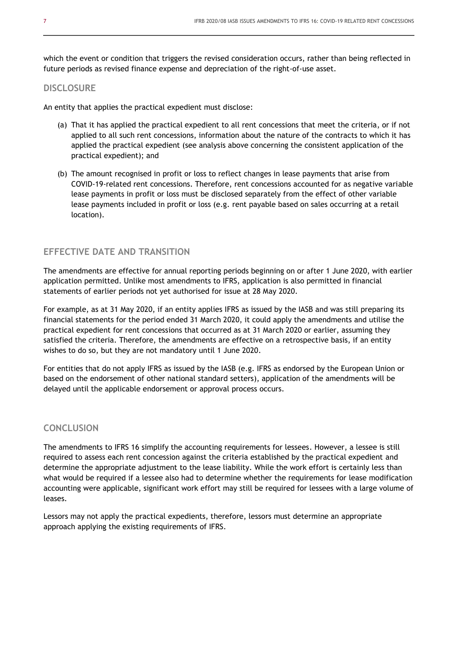which the event or condition that triggers the revised consideration occurs, rather than being reflected in future periods as revised finance expense and depreciation of the right-of-use asset.

#### **DISCLOSURE**

An entity that applies the practical expedient must disclose:

- (a) That it has applied the practical expedient to all rent concessions that meet the criteria, or if not applied to all such rent concessions, information about the nature of the contracts to which it has applied the practical expedient (see analysis above concerning the consistent application of the practical expedient); and
- (b) The amount recognised in profit or loss to reflect changes in lease payments that arise from COVID-19-related rent concessions. Therefore, rent concessions accounted for as negative variable lease payments in profit or loss must be disclosed separately from the effect of other variable lease payments included in profit or loss (e.g. rent payable based on sales occurring at a retail location).

#### **EFFECTIVE DATE AND TRANSITION**

The amendments are effective for annual reporting periods beginning on or after 1 June 2020, with earlier application permitted. Unlike most amendments to IFRS, application is also permitted in financial statements of earlier periods not yet authorised for issue at 28 May 2020.

For example, as at 31 May 2020, if an entity applies IFRS as issued by the IASB and was still preparing its financial statements for the period ended 31 March 2020, it could apply the amendments and utilise the practical expedient for rent concessions that occurred as at 31 March 2020 or earlier, assuming they satisfied the criteria. Therefore, the amendments are effective on a retrospective basis, if an entity wishes to do so, but they are not mandatory until 1 June 2020.

For entities that do not apply IFRS as issued by the IASB (e.g. IFRS as endorsed by the European Union or based on the endorsement of other national standard setters), application of the amendments will be delayed until the applicable endorsement or approval process occurs.

#### **CONCLUSION**

The amendments to IFRS 16 simplify the accounting requirements for lessees. However, a lessee is still required to assess each rent concession against the criteria established by the practical expedient and determine the appropriate adjustment to the lease liability. While the work effort is certainly less than what would be required if a lessee also had to determine whether the requirements for lease modification accounting were applicable, significant work effort may still be required for lessees with a large volume of leases.

Lessors may not apply the practical expedients, therefore, lessors must determine an appropriate approach applying the existing requirements of IFRS.